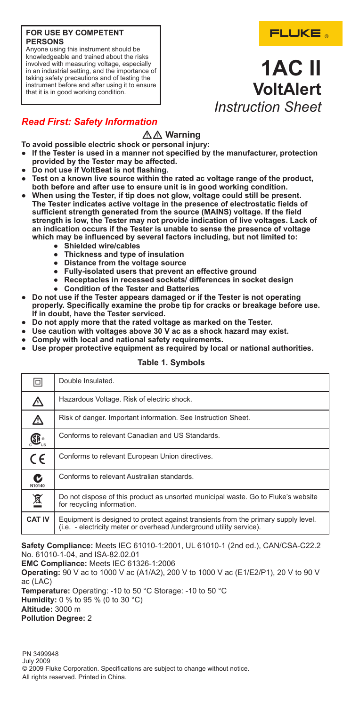### **FOR USE BY COMPETENT PERSONS**

Anyone using this instrument should be knowledgeable and trained about the risks involved with measuring voltage, especially in an industrial setting, and the importance of taking safety precautions and of testing the instrument before and after using it to ensure that it is in good working condition.

# **1AC II VoltAlert** *Instruction Sheet*

# *Read First: Safety Information*

# $A$ <sup>*M*</sup> Warning

- **To avoid possible electric shock or personal injury:**
- **● If the Tester is used in a manner not specified by the manufacturer, protection provided by the Tester may be affected.**
- **● Do not use if VoltBeat is not flashing.**
- Test on a known live source within the rated ac voltage range of the product, **both before and after use to ensure unit is in good working condition.**
- **● When using the Tester, if tip does not glow, voltage could still be present. The Tester indicates active voltage in the presence of electrostatic fields of sufficient strength generated from the source (MAINS) voltage. If the field strength is low, the Tester may not provide indication of live voltages. Lack of an indication occurs if the Tester is unable to sense the presence of voltage which may be influenced by several factors including, but not limited to:**
	- **● Shielded wire/cables**
	- **● Thickness and type of insulation**
	- **● Distance from the voltage source**
	- **● Fully-isolated users that prevent an effective ground**
	- **● Receptacles in recessed sockets/ differences in socket design**
	- **● Condition of the Tester and Batteries**
- **● Do not use if the Tester appears damaged or if the Tester is not operating properly. Specifically examine the probe tip for cracks or breakage before use. If in doubt, have the Tester serviced.**
- **● Do not apply more that the rated voltage as marked on the Tester.**
- **● Use caution with voltages above 30 V ac as a shock hazard may exist.**
- **● Comply with local and national safety requirements.**
- **● Use proper protective equipment as required by local or national authorities.**

### **Table 1. Symbols**

| o                                               | Double Insulated.                                                                                                                                          |
|-------------------------------------------------|------------------------------------------------------------------------------------------------------------------------------------------------------------|
| ⚠                                               | Hazardous Voltage. Risk of electric shock.                                                                                                                 |
| ⚠                                               | Risk of danger. Important information. See Instruction Sheet.                                                                                              |
| $\mathbf{\textcircled{f}}_{\mathrm{\tiny{us}}}$ | Conforms to relevant Canadian and US Standards.                                                                                                            |
| $\epsilon$                                      | Conforms to relevant European Union directives.                                                                                                            |
| C<br>N10140                                     | Conforms to relevant Australian standards.                                                                                                                 |
| 凰                                               | Do not dispose of this product as unsorted municipal waste. Go to Fluke's website<br>for recycling information.                                            |
| <b>CAT IV</b>                                   | Equipment is designed to protect against transients from the primary supply level.<br>(i.e. - electricity meter or overhead /underground utility service). |

**Safety Compliance:** Meets IEC 61010-1:2001, UL 61010-1 (2nd ed.), CAN/CSA-C22.2 No. 61010-1-04, and ISA-82.02.01

**EMC Compliance:** Meets IEC 61326-1:2006

**Operating:** 90 V ac to 1000 V ac (A1/A2), 200 V to 1000 V ac (E1/E2/P1), 20 V to 90 V ac (LAC)

**Temperature:** Operating: -10 to 50 °C Storage: -10 to 50 °C **Humidity:** 0 % to 95 % (0 to 30 °C)

**Altitude:** 3000 m

**Pollution Degree:** 2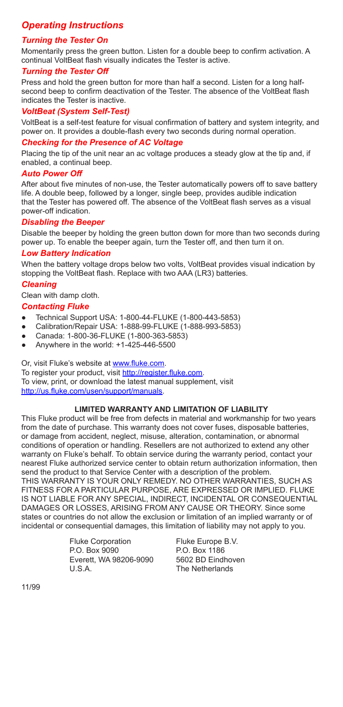# *Operating Instructions*

### *Turning the Tester On*

Momentarily press the green button. Listen for a double beep to confirm activation. A continual VoltBeat flash visually indicates the Tester is active.

### *Turning the Tester Off*

Press and hold the green button for more than half a second. Listen for a long halfsecond beep to confirm deactivation of the Tester. The absence of the VoltBeat flash indicates the Tester is inactive.

### *VoltBeat (System Self-Test)*

VoltBeat is a self-test feature for visual confirmation of battery and system integrity, and power on. It provides a double-flash every two seconds during normal operation.

### *Checking for the Presence of AC Voltage*

Placing the tip of the unit near an ac voltage produces a steady glow at the tip and, if enabled, a continual beep.

### *Auto Power Off*

After about five minutes of non-use, the Tester automatically powers off to save battery life. A double beep, followed by a longer, single beep, provides audible indication that the Tester has powered off. The absence of the VoltBeat flash serves as a visual power-off indication.

### *Disabling the Beeper*

Disable the beeper by holding the green button down for more than two seconds during power up. To enable the beeper again, turn the Tester off, and then turn it on.

### *Low Battery Indication*

When the battery voltage drops below two volts, VoltBeat provides visual indication by stopping the VoltBeat flash. Replace with two AAA (LR3) batteries.

### *Cleaning*

Clean with damp cloth.

### *Contacting Fluke*

- **●** Technical Support USA: 1-800-44-FLUKE (1-800-443-5853)
- **●** Calibration/Repair USA: 1-888-99-FLUKE (1-888-993-5853)
- **●** Canada: 1-800-36-FLUKE (1-800-363-5853)
- **●** Anywhere in the world: +1-425-446-5500

Or, visit Fluke's website at www.fluke.com.

To register your product, visit http://register.fluke.com. To view, print, or download the latest manual supplement, visit http://us.fluke.com/usen/support/manuals.

### **LIMITED WARRANTY AND LIMITATION OF LIABILITY**

This Fluke product will be free from defects in material and workmanship for two years from the date of purchase. This warranty does not cover fuses, disposable batteries, or damage from accident, neglect, misuse, alteration, contamination, or abnormal conditions of operation or handling. Resellers are not authorized to extend any other warranty on Fluke's behalf. To obtain service during the warranty period, contact your nearest Fluke authorized service center to obtain return authorization information, then send the product to that Service Center with a description of the problem. THIS WARRANTY IS YOUR ONLY REMEDY. NO OTHER WARRANTIES, SUCH AS FITNESS FOR A PARTICULAR PURPOSE, ARE EXPRESSED OR IMPLIED. FLUKE

IS NOT LIABLE FOR ANY SPECIAL, INDIRECT, INCIDENTAL OR CONSEQUENTIAL DAMAGES OR LOSSES, ARISING FROM ANY CAUSE OR THEORY. Since some states or countries do not allow the exclusion or limitation of an implied warranty or of incidental or consequential damages, this limitation of liability may not apply to you.

> Fluke Corporation P.O. Box 9090 Everett, WA 98206-9090 U.S.A.

Fluke Europe B.V. P.O. Box 1186 5602 BD Eindhoven The Netherlands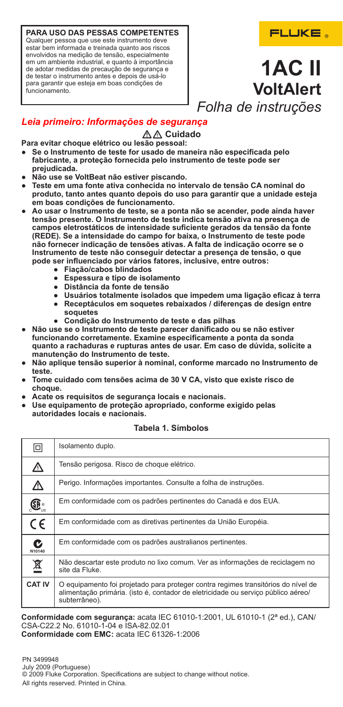**PARA USO DAS PESSAS COMPETENTES** Qualquer pessoa que use este instrumento deve estar bem informada e treinada quanto aos riscos envolvidos na medição de tensão, especialmente em um ambiente industrial, e quanto à importância de adotar medidas de precaução de segurança e de testar o instrumento antes e depois de usá-lo para garantir que esteja em boas condições de funcionamento.

# FLUKE.

# **1AC II VoltAlert** *Folha de instruções*

# *Leia primeiro: Informações de segurança*

# $\mathbb{A}\mathbb{A}$  Cuidado

**Para evitar choque elétrico ou lesão pessoal:**

- **● Se o Instrumento de teste for usado de maneira não especificada pelo fabricante, a proteção fornecida pelo instrumento de teste pode ser prejudicada.**
- **● Não use se VoltBeat não estiver piscando.**
- **● Teste em uma fonte ativa conhecida no intervalo de tensão CA nominal do produto, tanto antes quanto depois do uso para garantir que a unidade esteja em boas condições de funcionamento.**
- **● Ao usar o Instrumento de teste, se a ponta não se acender, pode ainda haver tensão presente. O Instrumento de teste indica tensão ativa na presença de campos eletrostáticos de intensidade suficiente gerados da tensão da fonte (REDE). Se a intensidade do campo for baixa, o Instrumento de teste pode não fornecer indicação de tensões ativas. A falta de indicação ocorre se o Instrumento de teste não conseguir detectar a presença de tensão, o que pode ser influenciado por vários fatores, inclusive, entre outros:**
	- **● Fiação/cabos blindados**
	- **● Espessura e tipo de isolamento**
	- **● Distância da fonte de tensão**
	- **● Usuários totalmente isolados que impedem uma ligação eficaz à terra ● Receptáculos em soquetes rebaixados / diferenças de design entre soquetes**
	- **● Condição do Instrumento de teste e das pilhas**
- **● Não use se o Instrumento de teste parecer danificado ou se não estiver funcionando corretamente. Examine especificamente a ponta da sonda quanto a rachaduras e rupturas antes de usar. Em caso de dúvida, solicite a manutenção do Instrumento de teste.**
- **● Não aplique tensão superior à nominal, conforme marcado no Instrumento de teste.**
- **● Tome cuidado com tensões acima de 30 V CA, visto que existe risco de choque.**
- **● Acate os requisitos de segurança locais e nacionais.**
- **● Use equipamento de proteção apropriado, conforme exigido pelas autoridades locais e nacionais.**

| 冋             | Isolamento duplo.                                                                                                                                                                       |
|---------------|-----------------------------------------------------------------------------------------------------------------------------------------------------------------------------------------|
| ⚠             | Tensão perigosa. Risco de choque elétrico.                                                                                                                                              |
| ⚠             | Perigo. Informações importantes. Consulte a folha de instruções.                                                                                                                        |
| Œ.            | Em conformidade com os padrões pertinentes do Canadá e dos EUA.                                                                                                                         |
| $C \in$       | Em conformidade com as diretivas pertinentes da União Européia.                                                                                                                         |
| C<br>N10140   | Em conformidade com os padrões australianos pertinentes.                                                                                                                                |
| 凰             | Não descartar este produto no lixo comum. Ver as informações de reciclagem no<br>site da Fluke.                                                                                         |
| <b>CAT IV</b> | O equipamento foi projetado para proteger contra regimes transitórios do nível de<br>alimentação primária. (isto é, contador de eletricidade ou servico público aéreo/<br>subterrâneo). |

### **Tabela 1. Símbolos**

**Conformidade com segurança:** acata IEC 61010-1:2001, UL 61010-1 (2ª ed.), CAN/ CSA-C22.2 No. 61010-1-04 e ISA-82.02.01 **Conformidade com EMC:** acata IEC 61326-1:2006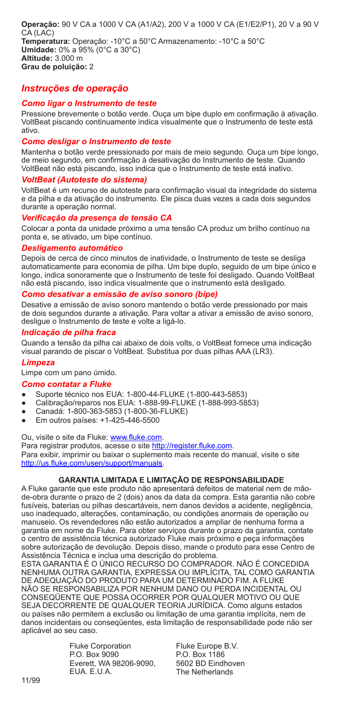**Operação:** 90 V CA a 1000 V CA (A1/A2), 200 V a 1000 V CA (E1/E2/P1), 20 V a 90 V CA (LAC) **Temperatura:** Operação: -10°C a 50°C Armazenamento: -10°C a 50°C **Umidade:** 0% a 95% (0°C a 30°C) **Altitude:** 3.000 m **Grau de poluição:** 2

## *Instruções de operação*

### *Como ligar o Instrumento de teste*

Pressione brevemente o botão verde. Ouça um bipe duplo em confirmação à ativação. VoltBeat piscando continuamente indica visualmente que o Instrumento de teste está ativo.

### *Como desligar o Instrumento de teste*

Mantenha o botão verde pressionado por mais de meio segundo. Ouça um bipe longo, de meio segundo, em confirmação à desativação do Instrumento de teste. Quando VoltBeat não está piscando, isso indica que o Instrumento de teste está inativo.

### *VoltBeat (Autoteste do sistema)*

VoltBeat é um recurso de autoteste para confirmação visual da integridade do sistema e da pilha e da ativação do instrumento. Ele pisca duas vezes a cada dois segundos durante a operação normal.

### *Verificação da presença de tensão CA*

Colocar a ponta da unidade próximo a uma tensão CA produz um brilho contínuo na ponta e, se ativado, um bipe contínuo.

### *Desligamento automático*

Depois de cerca de cinco minutos de inatividade, o Instrumento de teste se desliga automaticamente para economia de pilha. Um bipe duplo, seguido de um bipe único e longo, indica sonoramente que o Instrumento de teste foi desligado. Quando VoltBeat não está piscando, isso indica visualmente que o instrumento está desligado.

### *Como desativar a emissão de aviso sonoro (bipe)*

Desative a emissão de aviso sonoro mantendo o botão verde pressionado por mais de dois segundos durante a ativação. Para voltar a ativar a emissão de aviso sonoro, desligue o Instrumento de teste e volte a ligá-lo.

### *Indicação de pilha fraca*

Quando a tensão da pilha cai abaixo de dois volts, o VoltBeat fornece uma indicação visual parando de piscar o VoltBeat. Substitua por duas pilhas AAA (LR3).

### *Limpeza*

Limpe com um pano úmido.

### *Como contatar a Fluke*

- **●** Suporte técnico nos EUA: 1-800-44-FLUKE (1-800-443-5853)
- **●** Calibração/reparos nos EUA: 1-888-99-FLUKE (1-888-993-5853)
- **●** Canadá: 1-800-363-5853 (1-800-36-FLUKE)
- **●** Em outros países: +1-425-446-5500

Ou, visite o site da Fluke: www.fluke.com.

Para registrar produtos, acesse o site http://register.fluke.com. Para exibir, imprimir ou baixar o suplemento mais recente do manual, visite o site http://us.fluke.com/usen/support/manuals.

### **GARANTIA LIMITADA E LIMITAÇÃO DE RESPONSABILIDADE**

A Fluke garante que este produto não apresentará defeitos de material nem de mãode-obra durante o prazo de 2 (dois) anos da data da compra. Esta garantia não cobre fusíveis, baterias ou pilhas descartáveis, nem danos devidos a acidente, negligência, uso inadequado, alterações, contaminação, ou condições anormais de operação ou manuseio. Os revendedores não estão autorizados a ampliar de nenhuma forma a garantia em nome da Fluke. Para obter serviços durante o prazo da garantia, contate o centro de assistência técnica autorizado Fluke mais próximo e peça informações sobre autorização de devolução. Depois disso, mande o produto para esse Centro de Assistência Técnica e inclua uma descrição do problema.

ESTA GARANTIA É O ÚNICO RECURSO DO COMPRADOR. NÃO É CONCEDIDA NENHUMA OUTRA GARANTIA, EXPRESSA OU IMPLÍCITA, TAL COMO GARANTIA DE ADEQUAÇÃO DO PRODUTO PARA UM DETERMINADO FIM. A FLUKE NÃO SE RESPONSABILIZA POR NENHUM DANO OU PERDA INCIDENTAL OU CONSEQÜENTE QUE POSSA OCORRER POR QUALQUER MOTIVO OU QUE SEJA DECORRENTE DE QUALQUER TEORIA JURÍDICA. Como alguns estados ou países não permitem a exclusão ou limitação de uma garantia implícita, nem de danos incidentais ou conseqüentes, esta limitação de responsabilidade pode não ser aplicável ao seu caso.

> Fluke Corporation P.O. Box 9090 Everett, WA 98206-9090, EUA. E.U.A.

Fluke Europe B.V. P.O. Box 1186 5602 BD Eindhoven The Netherlands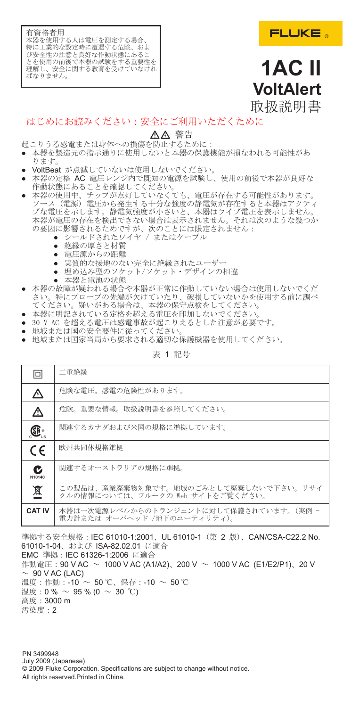有資格者用 本器を使用する人は電圧を測定する場合 特に工業的な設定時に遭遇する危険、およ び安全性の注意と良好な作動状態にあるこ とを使用の前後で本器の試験をする重要性を 理解し、安全に関する教育を受けていなけれ ーム<br>ばなりません。

# **1AC II VoltAlert** 取扱説明書

# はじめにお読みください:安全にご利用いただくために

## WX 警告

- 起こりうる感電または身体への損傷を防止するために:
- **●** 本器を製造元の指示通りに使用しないと本器の保護機能が損なわれる可能性があ ります。
- 
- VoltBeat が点滅していないは使用しないでください。<br>● 本器の定格 AC 電圧レンジ内で既知の電源を試験し、使用の前後で本器が良好な ——作動状態にあることを確認してください。<br>● 本器の使用中、チップが点灯していなくても、電圧が存在する可能性があります。
- ソース (電源) 電圧から発生する十分な強度の静電気が存在すると本器はアクティ ブな電圧を示します。静電気強度が小さいと、本器はライブ電圧を表示しません。 本器が電圧の存在を検出できない場合は表示されません。それは次のような幾つか の要因に影響されるためですが、次のことには限定されません:
	- **\*** ニールドされたワイヤ / またはケーブル
	- **●** 絶縁の厚さと材質
	- **●** 電圧源からの距離
	- **●** 実質的な接地のない完全に絶縁されたユーザー
	- **●** 埋め込み型のソケット/ソケット・デザインの相違
		- **●** 本器と電池の状態
- **●** 本器の故障が疑われる場合や本器が正常に作動していない場合は使用しないでくだ さい。特にプローブの先端が欠けていたり、破損していないかを使用する前に調べ てください。疑いがある場合は、本器の保守点検をしてください。
- **●** 本器に明記されている定格を超える電圧を印加しないでください。
- **●** 30 V AC を超える電圧は感電事故が起こりえるとした注意が必要です。
- **●** 地域または国の安全要件に従ってください。
- **●** 地域または国家当局から要求される適切な保護機器を使用してください。

表 1 記号

| 冋             | 二重絶縁                                                                      |
|---------------|---------------------------------------------------------------------------|
| ⚠             | 危険な電圧、感電の危険性があります。                                                        |
| ⚠             | <b>危険、重要な情報、取扱説明書を参照してください。</b>                                           |
| Œ.            | 関連するカナダおよび米国の規格に準拠しています。                                                  |
| $\epsilon$    | 欧州共同体規格準拠                                                                 |
| C<br>N10140   | 関連するオーストラリアの規格に準拠。                                                        |
| 亙             | この製品は、産業廃棄物対象です。地域のごみとして廃棄しないで下さい。リサイ<br>クルの情報については、フルークの Web サイトをご覧ください。 |
| <b>CAT IV</b> | 本器は一次雷源レベルからのトランジェントに対して保護されています。(実例 -<br>雷力計または オーバヘッド /地下のユーティリティ)。     |

準拠する安全規格:IEC 61010-1:2001、UL 61010-1 (第 2 版)、CAN/CSA-C22.2 No. 61010-1-04、および ISA-82.02.01 に適合 EMC 準拠:IEC 61326-1:2006 に適合 作動電圧:90 V AC ~ 1000 V AC (A1/A2)、200 V ~ 1000 V AC (E1/E2/P1)、20 V  $-90$  V AC (LAC) 温度:作動:-10 ~ 50 ℃、保存:-10 ~ 50 ℃ 湿度:0% ~ 95 % (0 ~ 30 ℃) 高度:3000 m 汚染度:2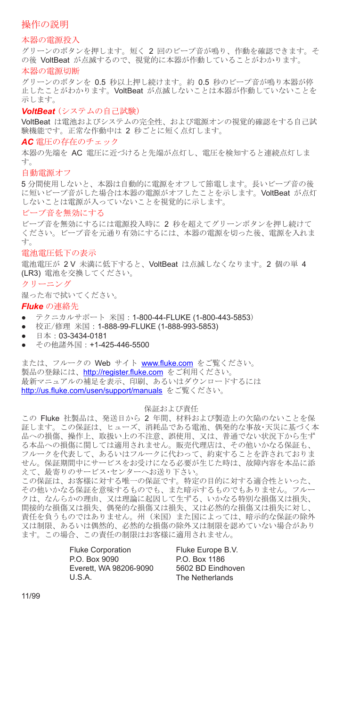### 操作の説明

### 本器の電源投入

グリーンのボタンを押します。短く 2 回のビープ音が鳴り、作動を確認できます。そ の後 VoltBeat が点滅するので、視覚的に本器が作動していることがわかります。

### 本器の電源切断

グリーンのボタンを 0.5 秒以上押し続けます。約 0.5 秒のビープ音が鳴り本器が停 止したことがわかります。VoltBeat が点滅しないことは本器が作動していないことを 示します。

### *VoltBeat* (システムの自己試験)

VoltBeat は電池およびシステムの完全性、および電源オンの視覚的確認をする自己試 験機能です。正常な作動中は 2 秒ごとに短く点灯します。

### *AC* 電圧の存在のチェック

本器の先端を AC 電圧に近づけると先端が点灯し、電圧を検知すると連続点灯しま す。

#### 自動電源オフ

5 分間使用しないと、本器は自動的に電源をオフして節電します。長いビープ音の後 に短いビープ音がした場合は本器の電源がオフしたことを示します。VoltBeat が点灯 しないことは電源が入っていないことを視覚的に示します。

### ビープ音を無効にする

ビープ音を無効にするには電源投入時に 2 秒を超えてグリーンボタンを押し続けて ください。ビープ音を元通り有効にするには、本器の電源を切った後、電源を入れま す。

### 電池電圧低下の表示

電池電圧が 2 V 未満に低下すると、VoltBeat は点滅しなくなります。2 個の単 4 (LR3) 電池を交換してください。

### クリーニング

湿った布で拭いてください。

### *Fluke* の連絡先

- **●** テクニカルサポート 米国: 1-800-44-FLUKE (1-800-443-5853)
- **●** 校正/修理 米国:1-888-99-FLUKE (1-888-993-5853)
- 日本:03-3434-0181<br>● *その*他諾外国・**+1-4**2
- **●** その他諸外国:+1-425-446-5500

または、フルークの Web サイト www.fluke.com をご覧ください。 製品の登録には、http://register.fluke.com をご利用ください。 最新マニュアルの補足を表示、印刷、あるいはダウンロードするには http://us.fluke.com/usen/support/manuals をご覧ください。

#### 保証および責任

この Fluke 社製品は、発送日から 2 年間、材料および製造上の欠陥のないことを保 証します。この保証は、ヒューズ、消耗品である電池、偶発的な事故・天災に基づく本 品への損傷、操作上、取扱い上の不注意、誤使用、又は、普通でない状況下から生ず る本品への損傷に関しては適用されません。販売代理店は、その他いかなる保証も、 フルークを代表して、あるいはフルークに代わって、約束することを許されておりま せん。保証期間中にサービスをお受けになる必要が生じた時は、故障内容を本品に添 えて、最寄りのサービス・センターへお送り下さい。

この保証は、お客様に対する唯一の保証です。特定の目的に対する適合性といった、 その他いかなる保証を意味するものでも、また暗示するものでもありません。フルー クは、なんらかの理由、又は理論に起因して生ずる、いかなる特別な損傷又は損失、 間接的な損傷又は損失、偶発的な損傷又は損失、又は必然的な損傷又は損失に対し、 責任を負うものではありません。州 (米国) また国によっては、暗示的な保証の除外 又は制限、あるいは偶然的、必然的な損傷の除外又は制限を認めていない場合があり ます。この場合、この責任の制限はお客様に適用されません。

> Fluke Corporation P.O. Box 9090 Everett, WA 98206-9090 U.S.A.

Fluke Europe B.V. P.O. Box 1186 5602 BD Eindhoven The Netherlands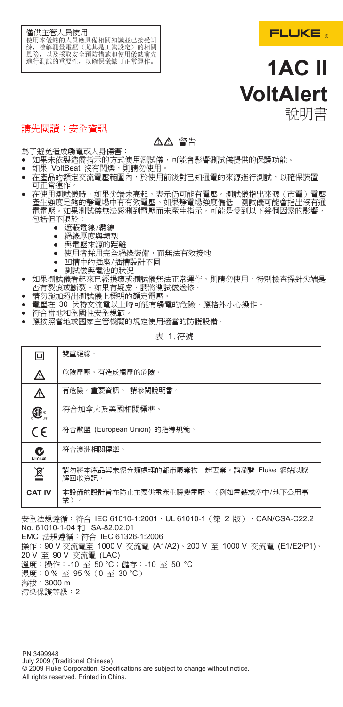### 僅供主管人員使用 使用本儀錶的人員應具備相關知識並已接受訓 練,瞭解測量電壓(尤其是工業設定)的相關<br>風險,以及採取安全預防措施和使用儀錶前先 進行測試的重要性,以確保儀錶可正常運作。



# **1AC II VoltAlert** 說明書

# 請先閱讀:安全資訊

# WX 警告

為了避免造成觸電或人身傷害:

- **●** 如果未依製造商指示的方式使用測試儀,可能會影響測試儀提供的保護功能。
- **●** 如果 VoltBeat 沒有閃爍,則請勿使用。
- **●** 在產品的額定交流電壓範圍內,於使用前後對已知通電的來源進行測試,以確保裝置 可正常運作。
- **●** 在使用測試儀時,如果尖端未亮起,表示仍可能有電壓。測試儀指出來源(市電)電壓 産生強度足夠的靜電場中有有效電壓。如果靜電場強度偏低,測試儀可能會指出沒有通<br>電電壓。如果測試儀無法感測到電壓而未產生指示,可能是受到以下幾個因素的影響, 包括但不限於:
	- **●** 遮蔽電線/纜線
	- **絕緣** 厚度與類型
	- **●** 與電壓來源的距離
	- **●** 使用者採用完全絕緣裝備,而無法有效接地
	- **●** 凹槽中的插座/插槽設計不同
	- **●** 測試儀與電池的狀況
- **●** 如果測試儀看起來已經損壞或測試儀無法正常運作,則請勿使用。特別檢查探針尖端是 否有裂痕或斷裂。如果有疑慮,請將測試儀送修。 **●** 請勿施加超出測試儀上標明的額定電壓。
- 
- **●** 電壓在 30 伏特交流電以上時可能有觸電的危險,應格外小心操作。
- **●** 符合當地和全國性安全規範。
- **●** 應按照當地或國家主管機關的規定使用適當的防護設備。

表 1.符號

| 回             | 雙重絕緣。                                            |
|---------------|--------------------------------------------------|
| ⚠             | 危險電壓。有造成觸雷的危險。                                   |
| ∆             | 有危險。重要資訊。 請參閱說明書。                                |
| Œ.            | 符合加拿大及美國相關標準。                                    |
| $C \in$       | 符合歐盟 (European Union) 的指導規範。                     |
| C<br>N10140   | 符合澳洲相關標準。                                        |
| 亙             | 請勿將本產品與未經分類處理的都市廢棄物一起丟棄。請瀏覽 Fluke 網站以瞭<br>解回收資訊。 |
| <b>CAT IV</b> | 本設備的設計旨在防止主要供電產生瞬變電壓。(例如電錶或空中/地下公用事<br>業)        |

安全法規遵循:符合 IEC 61010-1:2001、UL 61010-1(第 2 版)、CAN/CSA-C22.2 No. 61010-1-04 和 ISA-82.02.01

EMC 法規遵循:符合 IEC 61326-1:2006 操作:90 V 交流電至 1000 V 交流電 (A1/A2)、200 V 至 1000 V 交流電 (E1/E2/P1)、 20 V 至 90 V 交流電 (LAC) 溫度: 操作: -10 至 50 ℃; 儲存: -10 至 50 ℃ 濕度:0 % 至 95 %(0 至 30 °C) 海拔:3000 m 污染保護等級:2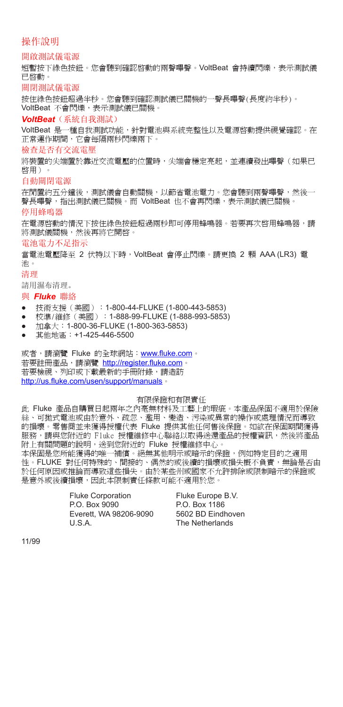### 操作說明

### 開啟測試儀電源

短暫按下綠色按鈕。您會聽到確認啟動的兩聲嗶聲。VoltBeat 會持續閃爍,表示測試儀 已啟動。

關閉測試儀電源

按住綠色按鈕超過半秒。您會聽到確認測試儀已關機的一聲長嗶聲(長度約半秒)。 VoltBeat 不會閃爍,表示測試儀已關機。

### *VoltBeat*(系統自我測試)

VoltBeat 是一種自我測試功能,針對電池與系統完整性以及電源啓動提供視覺確認。在 正常運作期間,它會每隔兩秒閃爍兩下。

### 檢查是否有交流電壓

將裝置的尖端置於靠近交流電壓的位置時,尖端會穩定亮起,並連續發出嗶聲(如果已 啟用)。

### 自動關閉電源

在閒置約五分鐘後,測試儀會自動關機,以節省電池電力。您會聽到兩聲嗶聲,然後一 聲長嗶聲,指出測試儀已關機。而 VoltBeat 也不會再閃爍,表示測試儀已關機。

#### 停用蜂鳴器

在電源啓動的情況下按住綠色按鈕超過兩秒即可停用蜂鳴器。若要再次啓用蜂鳴器,請 將測試儀關機,然後再將它開啟。

### 電池電力不足指示

當電池電壓降至 2 伏特以下時,VoltBeat 會停止閃爍。請更換 2 顆 AAA (LR3) 電 池。

### 清理

請用濕布清理。

### 與 *Fluke* 聯絡

- **●** 技術支援(美國):1-800-44-FLUKE (1-800-443-5853)
- **●** 校準/維修(美國):1-888-99-FLUKE (1-888-993-5853)
- **●** 加拿大:1-800-36-FLUKE (1-800-363-5853)
- 其他地區: +1-425-446-5500

或者,請瀏覽 Fluke 的全球網站: www.fluke.com。 若要註冊產品,請瀏覽 http://register.fluke.com 若要檢視、列印或下載最新的手冊附錄,請造訪 http://us.fluke.com/usen/support/manuals。

### 有限保證和有限責任

此 Fluke 產品自購買日起兩年之內毫無材料及工藝上的瑕疵。本產品保固不適用於保險 絲、可拋式電池或由於意外、疏忽、濫用、變造、污染或異常的操作或處理情況而導致 的損壞。零售商並未獲得授權代表 Fluke 提供其他任何售後保證。如欲在保固期間獲得 服務,請與您附近的 Fluke 授權維修中心聯絡以取得送還產品的授權資訊,然後將產品 附上有關問題的說明,送到您附近的 Fluke 授權維修中心。

本保固是您所能獲得的唯一補償。絕無其他明示或暗示的保證,例如特定目的之適用 性。FLUKE 對任何特殊的、間接的、偶然的或後續的損壞或損失概不負責,無論是否由 於任何原因或推論而導致這些損失。由於某些州或國家不允許排除或限制暗示的保證或 是意外或後續損壞,因此本限制責任條款可能不適用於您。

> Fluke Corporation P.O. Box 9090 Everett, WA 98206-9090 U.S.A.

Fluke Europe B.V. P.O. Box 1186 5602 BD Eindhoven The Netherlands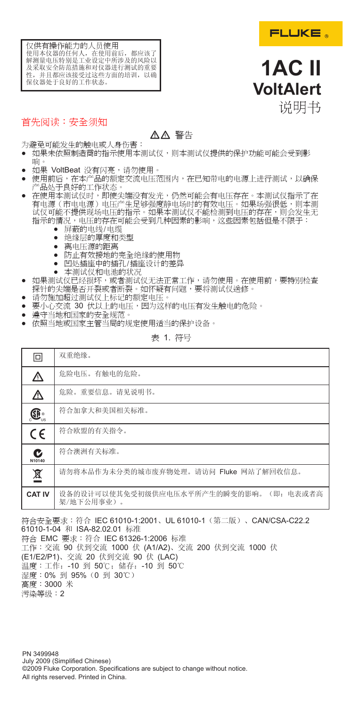

**1AC II VoltAlert**

说明书



# 首先阅读:安全须知

# WX 警告

为避免可能发生的触电或人身伤害:

- **●** 如果未依照制造商的指示使用本测试仪,则本测试仪提供的保护功能可能会受到影 响。
- 如果 VoltBeat 没有闪亮,请勿使用。
- 使用前后,在本产品的额定交流电压范围内,在已知带电的电源上进行测试,以确保<br>- 产品处于良好的工作状态。
- **●** 在使用本测试仪时,即使尖端没有发光,仍然可能会有电压存在。本测试仪指示了在 有电源(市电电源)电压产生足够强度静电场时的有效电压。如果场强很低,则本测 试仪可能不提供现场电压的指示。如果本测试仪不能检测到电压的存在,则会发生无<br>指示的情况,电压的存在可能会受到几种因素的影响,这些因素包括但是不限于:
	- **●** 屏蔽的电线/电缆
	- **●** 绝缘层的厚度和类型
	- **●** 离电压源的距离
	- **●** 防止有效接地的完全绝缘的使用物
	- **●** 凹处插座中的插孔/插座设计的差异
	- **●** 本测试仪和电池的状况
- **●** 如果测试仪已经损坏,或者测试仪无法正常工作,请勿使用。在使用前,要特别检查 探针的尖端是否开裂或者断裂。如怀疑有问题,要将测试仪送修。
- 请勿施加超过测试仪上标记的额定电压
- 要小心交流 30 伏以上的电压,因为这样的电压有发生触电的危险。<br>● 遵守当地和国家的安全规范。
- 
- **●** 依照当地或国家主管当局的规定使用适当的保护设备。

表 1. 符号

| ⊡                        | 双重绝缘。                                                |
|--------------------------|------------------------------------------------------|
| ⚠                        | 危险电压。有触电的危险。                                         |
| ⚠                        | 危险。重要信息。请见说明书。                                       |
| $\mathbf{G}_\mathrm{ss}$ | 符合加拿大和美国相关标准。                                        |
| $\epsilon$               | 符合欧盟的有关指令。                                           |
| C<br>N10140              | 符合澳洲有关标准。                                            |
| 亙                        | 请勿将本品作为未分类的城市废弃物处理。请访问 Fluke 网站了解回收信息。               |
| <b>CAT IV</b>            | 设备的设计可以使其免受初级供应电压水平所产生的瞬变的影响。(即: 电表或者高<br>架/地下公用事业)。 |

符合安全要求:符合 IEC 61010-1:2001、UL 61010-1(第二版)、CAN/CSA-C22.2 61010-1-04 和 ISA-82.02.01 标准 符合 EMC 要求:符合 IEC 61326-1:2006 标准 工作:交流 90 伏到交流 1000 伏 (A1/A2)、交流 200 伏到交流 1000 伏 (E1/E2/P1)、交流 20 伏到交流 90 伏 (LAC) 温度:工作:-10 到 50℃;储存:-10 到 50℃ 湿度:0% 到 95%(0 到 30℃) 高度:3000 米 污染等级:2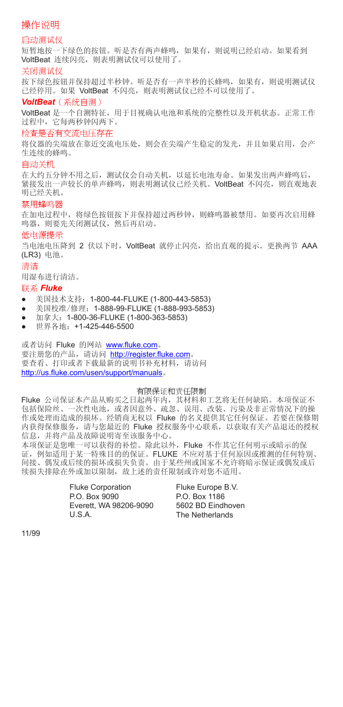# 操作说明

### 启动测试仪

短暂地按一下绿色的按钮。听是否有两声蜂鸣,如果有,则说明已经启动。如果看到 VoltBeat 连续闪亮,则表明测试仪可以使用了。

### 关闭测试仪

按下绿色按钮并保持超过半秒钟。听是否有一声半秒的长蜂鸣,如果有,则说明测试仪 已经停用。如果 VoltBeat 不闪亮,则表明测试仪已经不可以使用了。

### *VoltBeat*(系统自测)

VoltBeat 是一个自测特征,用于目视确认电池和系统的完整性以及开机状态。正常工作 过程中,它每两秒钟闪两下。

### 检查是否有交流电压存在

将仪器的尖端放在靠近交流电压处,则会在尖端产生稳定的发光,并且如果启用,会产 生连续的蜂鸣。

### 自动关机

在大约五分钟不用之后,测试仪会自动关机,以延长电池寿命。如果发出两声蜂鸣后, 紧接发出一声较长的单声蜂鸣,则表明测试仪已经关机。VoltBeat 不闪亮,则直观地表 明已经关机。

### 禁用蜂鸣器

在加电过程中,将绿色按钮按下并保持超过两秒钟,则蜂鸣器被禁用。如要再次启用蜂 鸣器,则要先关闭测试仪,然后再启动。

### 低电源提示

当电池电压降到 2 伏以下时, VoltBeat 就停止闪亮, 给出直观的提示。更换两节 AAA (LR3) 电池。

### 清洁

用湿布进行清洁。

### 联系 *Fluke*

- **●** 美国技术支持:1-800-44-FLUKE (1-800-443-5853)
- **●** 美国校准/修理:1-888-99-FLUKE (1-888-993-5853)
- **●** 加拿大:1-800-36-FLUKE (1-800-363-5853)
- **●** 世界各地:+1-425-446-5500

或者访问 Fluke 的网站 www.fluke.com。 要注册您的产品,请访问 http://register.fluke.com。 要查看、打印或者下载最新的说明书补充材料,请访问 http://us.fluke.com/usen/support/manuals。

#### 有限保证和责任限制

Fluke 公司保证本产品从购买之日起两年内,其材料和工艺将无任何缺陷。本项保证不 包括保险丝、一次性电池,或者因意外、疏忽、误用、改装、污染及非正常情况下的操 作或处理而造成的损坏。经销商无权以 Fluke 的名义提供其它任何保证。若要在保修期 内获得保修服务,请与您最近的 Fluke 授权服务中心联系,以获取有关产品退还的授权 信息,并将产品及故障说明寄至该服务中心。

本项保证是您唯一可以获得的补偿。除此以外,Fluke 不作其它任何明示或暗示的保 证,例如适用于某一特殊目的的保证。FLUKE 不应对基于任何原因或推测的任何特别、 间接、偶发或后续的损坏或损失负责。由于某些州或国家不允许将暗示保证或偶发或后 续损失排除在外或加以限制,故上述的责任限制或许对您不适用。

> Fluke Corporation P.O. Box 9090 Everett, WA 98206-9090 U.S.A.

Fluke Europe B.V. P.O. Box 1186 5602 BD Eindhoven The Netherlands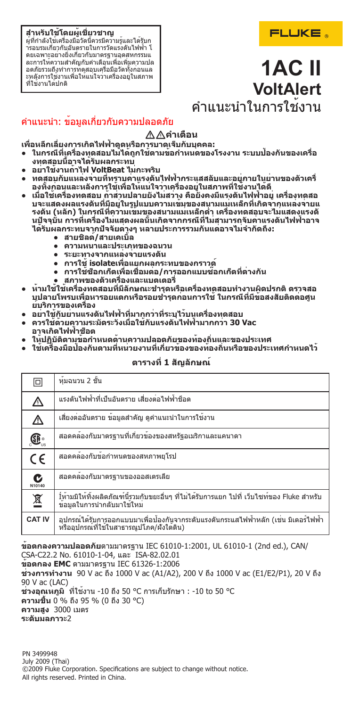### **สำหรับใช้โดยผู้เชี่ยวชาญ**

ผู้ที่กำลังใช้เครื่องมือวัดนี้ควรมีความรู้และได้รับก ารอบรมเกี่ยวกับอันตรายในการวัดแรงดันไฟฟ้า โ ดยเฉพาะอย่างยิ่งเกี่ยวกับมาตรฐานอุตสหกรรมแ ละการให้ความสำคัญกับคำเตือนเพื่อเพิ่มความปล อดภัยรวมถึงทำการทดสอบเครื่อมือวัดทั้งก่อนแล ะหลังการใช้งานเพื่อให้แน่ใจว่าเครื่องอยู่ในสภาพ ที่ใช้งานได้ปกติ

# FLUKE.

# **1AC II VoltAlert** คำแนะนำในการใช้งาน

# คำแนะนำ: ข้อมูลเกี่ยวกับความปลอดภัย

## $∆∆$ คำเตือน

**เพื่อหลีกเลี่ยงการเกิดไฟฟ้าดูดหรือการบาดเจ็บกับบุคคล:**

- **● ในกรณีที่เครื่องทดสอบไม่ได้ถูกใช้ตามข้อกำหนดของโรงงาน ระบบป้องกันของเครื่อ งทดสอบนี้อาจได้รับผลกระทบ**
- **● อย่าใช้งานถ้าไฟ VoltBeat ไม่กะพริบ**
- **● ทดสอบกับแหล่งจ่ายที่ทราบค่าแรงดันไฟฟ้ากระแสสลับและอยู่ภายในย่านของตัวเครื่ องทั้งก่อนและหลังการใช้เพื่อให้แน่ใจว่าเครื่องอยู่ในสภาพที่ใช้งานได้ดี**
- **● เมื่อใช้เครื่องทดสอบ ถ้าส่วนปลายยังไม่สว่าง คือยังคงมีแรงดันไฟฟ้าอยู่ เครื่องทดสอ บจะแสดงผลแรงดันที่มีอยู่ในรูปแบบความเข้มของสนามแม่เหล็กที่เกิดจากแหล่งจ่ายแ รงดัน (หลัก) ในกรณีที่ความเข้มของสนามแม่เหล็กต่ำ เครื่องทดสอบจะไม่แสดงแรงดั นปัจจุบัน การที่เครื่องไม่แสดงผลนั้นเกิดจากกรณีที่ไม่สามารถจับค่าแรงดันไฟฟ้าอาจ ได้รับผลกระทบจากปัจจัยต่างๆ หลายประการรวมกันแต่อาจไม่จำกัดถึง:**
	- **● สายชิลด์/สายเคเบิ้ล**
	- **● ความหนาและประเภทของฉนวน**
	- **● ระยะทางจากแหล่งจ่ายแรงดัน**
	- **● การใช้ isolateเพื่อแยกผลกระทบของกราวด์**
	- **● การใช้ซ็อกเก็ตเพื่อเชื่อมต่อ/การออกแบบซ๊อกเก็ตที่ต่างกัน**
	- **● สภาพของตัวเครื่องและแบตเตอรี่**
- **● ห้ามใช้ใช้เครื่องทดสอบที่มีลักษณะชำรุดหรือเครื่องทดสอบทำงานผิดปรกติ ตรวจสอ บปลายโพรบเพื่อหารอยแตกหรือรอยชำรุดก่อนการใช้ ในกรณีที่มีข้อสงสัยติดต่อศูน ย์บริการของเครื่อง**
- **● อย่าใช้กับย่านแรงดันไฟฟ้าที่มากกว่าที่ระบุไว้บนเครื่องทดสอบ**
- **● ควรใช้ด้วยความระมัดระวังเมื่อใช้กับแรงดันไฟฟ้ามากกว่า 30 Vac อาจเกิดไฟฟ้าช็อต**
- **● ให้ปฏิบัติตามข้อกำหนดด้านความปลอดภัยของท้องถิ่นและของประเทศ**
- **● ใช้เครื่องมือป้องกันตามที่หน่วยงานที่เกี่ยวข้องของท้องถิ่นหรือของประเทศกำหนดไว้**

## **ตารางที่ 1 สัญลักษณ์**

| ⊡                                             | หมฉนวน 2 ชั้น                                                                                                                        |
|-----------------------------------------------|--------------------------------------------------------------------------------------------------------------------------------------|
| ⚠                                             | แรงดันไฟฟ้าที่เป็นอันตราย เสี่ยงต่อไฟฟ้าช็อต                                                                                         |
| ⚠                                             | เสี่ยงต่ออันตราย ข้อมูลสำคัญ ดูคำแนะนำในการใชงงาน                                                                                    |
| $\textcircled{\textbf{F}}_{\text{\tiny{us}}}$ | สอดคล้องกับมาตรฐานที่เกี่ยวข้องของสหรัฐอเมริกาและแคนาดา                                                                              |
| $C \in$                                       | สอดคล้องกับข้อกำหนดของสหภาพยุโรป                                                                                                     |
| C<br>N10140                                   | สอดคลองกับมาตรฐานของออสเตรเลีย                                                                                                       |
| 亙                                             | ้ไห้ามมิให้ทิ้งผลิตภัณฑ์นี้รวมกับขยะอื่นๆ ที่ไม่ได้รับการแยก ไปที่ เว็บไซท์ของ Fluke สำหรับ<br>ขอมูลในการนำกลับมาใช <sup>้</sup> ใหม |
| <b>CAT IV</b>                                 | ้อปกรณ์ได้รับการออกแบบมาเพื่อป้องกันจากระดับแรงดันกระแสไฟฟ้าหลัก (เช่น มิเตอร์ไฟฟ้า<br>หรืออุปกรณ์ที่ใช้ในสาธารณูปโภค/ผังใต้ดิน)     |

**ข้อตกลงความปลอดภัย**ตามมาตรฐาน IEC 61010-1:2001, UL 61010-1 (2nd ed.), CAN/ CSA-C22.2 No. 61010-1-04, และ ISA-82.02.01 **ข้อตกลง EMC** ตามมาตรฐาน IEC 61326-1:2006 **ช่วงการทำงาน** 90 V ac ถึง 1000 V ac (A1/A2), 200 V ถึง 1000 V ac (E1/E2/P1), 20 V ถึง 90 V ac (LAC) **ช่วงอุณหภูมิ** ที่ใช้งาน -10 ถึง 50 °C การเก็บรักษา : -10 to 50 °C **ความชื้น** 0 % ถึง 95 % (0 ถึง 30 °C) **ความสูง** 3000 เมตร **ระดับมลภาวะ**2